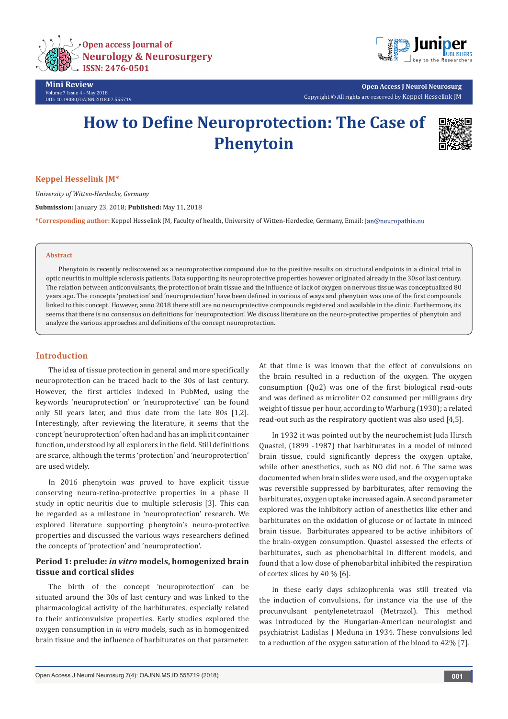

**Mini Review** Volume 7 Issue 4 - May 2018 DOI: [10.19080/OAJNN.2018.07.555719](http://dx.doi.org/10.19080/OAJNN.2018.07.555719)



**Open Access J Neurol Neurosurg** Copyright © All rights are reserved by Keppel Hesselink JM

# **How to Define Neuroprotection: The Case of Phenytoin**



## **Keppel Hesselink JM\***

*University of Witten-Herdecke, Germany*

**Submission:** January 23, 2018; **Published:** May 11, 2018

**\*Corresponding author:** Keppel Hesselink JM, Faculty of health, University of Witten-Herdecke, Germany, Email:

#### **Abstract**

Phenytoin is recently rediscovered as a neuroprotective compound due to the positive results on structural endpoints in a clinical trial in optic neuritis in multiple sclerosis patients. Data supporting its neuroprotective properties however originated already in the 30s of last century. The relation between anticonvulsants, the protection of brain tissue and the influence of lack of oxygen on nervous tissue was conceptualized 80 years ago. The concepts 'protection' and 'neuroprotection' have been defined in various of ways and phenytoin was one of the first compounds linked to this concept. However, anno 2018 there still are no neuroprotective compounds registered and available in the clinic. Furthermore, its seems that there is no consensus on definitions for 'neuroprotection'. We discuss literature on the neuro-protective properties of phenytoin and analyze the various approaches and definitions of the concept neuroprotection.

# **Introduction**

The idea of tissue protection in general and more specifically neuroprotection can be traced back to the 30s of last century. However, the first articles indexed in PubMed, using the keywords 'neuroprotection' or 'neuroprotective' can be found only 50 years later, and thus date from the late 80s [1,2]. Interestingly, after reviewing the literature, it seems that the concept 'neuroprotection' often had and has an implicit container function, understood by all explorers in the field. Still definitions are scarce, although the terms 'protection' and 'neuroprotection' are used widely.

In 2016 phenytoin was proved to have explicit tissue conserving neuro-retino-protective properties in a phase II study in optic neuritis due to multiple sclerosis [3]. This can be regarded as a milestone in 'neuroprotection' research. We explored literature supporting phenytoin's neuro-protective properties and discussed the various ways researchers defined the concepts of 'protection' and 'neuroprotection'.

## **Period 1: prelude:** *in vitro* **models, homogenized brain tissue and cortical slides**

The birth of the concept 'neuroprotection' can be situated around the 30s of last century and was linked to the pharmacological activity of the barbiturates, especially related to their anticonvulsive properties. Early studies explored the oxygen consumption in *in vitro* models, such as in homogenized brain tissue and the influence of barbiturates on that parameter. At that time is was known that the effect of convulsions on the brain resulted in a reduction of the oxygen. The oxygen consumption (Qo2) was one of the first biological read-outs and was defined as microliter O2 consumed per milligrams dry weight of tissue per hour, according to Warburg (1930); a related read-out such as the respiratory quotient was also used [4,5].

In 1932 it was pointed out by the neurochemist Juda Hirsch Quastel, (1899 -1987) that barbiturates in a model of minced brain tissue, could significantly depress the oxygen uptake, while other anesthetics, such as NO did not. 6 The same was documented when brain slides were used, and the oxygen uptake was reversible suppressed by barbiturates, after removing the barbiturates, oxygen uptake increased again. A second parameter explored was the inhibitory action of anesthetics like ether and barbiturates on the oxidation of glucose or of lactate in minced brain tissue. Barbiturates appeared to be active inhibitors of the brain-oxygen consumption. Quastel assessed the effects of barbiturates, such as phenobarbital in different models, and found that a low dose of phenobarbital inhibited the respiration of cortex slices by 40 % [6].

In these early days schizophrenia was still treated via the induction of convulsions, for instance via the use of the procunvulsant pentylenetetrazol (Metrazol). This method was introduced by the Hungarian-American neurologist and psychiatrist Ladislas J Meduna in 1934. These convulsions led to a reduction of the oxygen saturation of the blood to 42% [7].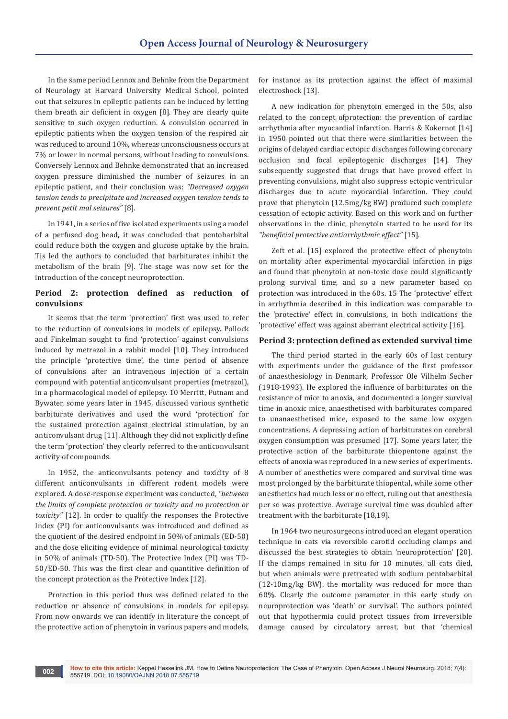In the same period Lennox and Behnke from the Department of Neurology at Harvard University Medical School, pointed out that seizures in epileptic patients can be induced by letting them breath air deficient in oxygen [8]. They are clearly quite sensitive to such oxygen reduction. A convulsion occurred in epileptic patients when the oxygen tension of the respired air was reduced to around 10%, whereas unconsciousness occurs at 7% or lower in normal persons, without leading to convulsions. Conversely Lennox and Behnke demonstrated that an increased oxygen pressure diminished the number of seizures in an epileptic patient, and their conclusion was: *"Decreased oxygen tension tends to precipitate and increased oxygen tension tends to prevent petit mal seizures"* [8].

In 1941, in a series of five isolated experiments using a model of a perfused dog head, it was concluded that pentobarbital could reduce both the oxygen and glucose uptake by the brain. Tis led the authors to concluded that barbiturates inhibit the metabolism of the brain [9]. The stage was now set for the introduction of the concept neuroprotection.

# **Period 2: protection defined as reduction of convulsions**

It seems that the term 'protection' first was used to refer to the reduction of convulsions in models of epilepsy. Pollock and Finkelman sought to find 'protection' against convulsions induced by metrazol in a rabbit model [10]. They introduced the principle 'protective time', the time period of absence of convulsions after an intravenous injection of a certain compound with potential anticonvulsant properties (metrazol), in a pharmacological model of epilepsy. 10 Merritt, Putnam and Bywater, some years later in 1945, discussed various synthetic barbiturate derivatives and used the word 'protection' for the sustained protection against electrical stimulation, by an anticonvulsant drug [11]. Although they did not explicitly define the term 'protection' they clearly referred to the anticonvulsant activity of compounds.

In 1952, the anticonvulsants potency and toxicity of 8 different anticonvulsants in different rodent models were explored. A dose-response experiment was conducted, *"between the limits of complete protection or toxicity and no protection or toxicity"* [12]. In order to qualify the responses the Protective Index (PI) for anticonvulsants was introduced and defined as the quotient of the desired endpoint in 50% of animals (ED-50) and the dose eliciting evidence of minimal neurological toxicity in 50% of animals (TD-50). The Protective Index (PI) was TD-50/ED-50. This was the first clear and quantitive definition of the concept protection as the Protective Index [12].

Protection in this period thus was defined related to the reduction or absence of convulsions in models for epilepsy. From now onwards we can identify in literature the concept of the protective action of phenytoin in various papers and models,

for instance as its protection against the effect of maximal electroshock [13].

A new indication for phenytoin emerged in the 50s, also related to the concept ofprotection: the prevention of cardiac arrhythmia after myocardial infarction. Harris & Kokernot [14] in 1950 pointed out that there were similarities between the origins of delayed cardiac ectopic discharges following coronary occlusion and focal epileptogenic discharges [14]. They subsequently suggested that drugs that have proved effect in preventing convulsions, might also suppress ectopic ventricular discharges due to acute myocardial infarction. They could prove that phenytoin (12.5mg/kg BW) produced such complete cessation of ectopic activity. Based on this work and on further observations in the clinic, phenytoin started to be used for its *"beneficial protective antiarrhythmic effect"* [15].

Zeft et al. [15] explored the protective effect of phenytoin on mortality after experimental myocardial infarction in pigs and found that phenytoin at non-toxic dose could significantly prolong survival time, and so a new parameter based on protection was introduced in the 60s. 15 The 'protective' effect in arrhythmia described in this indication was comparable to the 'protective' effect in convulsions, in both indications the 'protective' effect was against aberrant electrical activity [16].

#### **Period 3: protection defined as extended survival time**

The third period started in the early 60s of last century with experiments under the guidance of the first professor of anaesthesiology in Denmark, Professor Ole Vilhelm Secher (1918-1993). He explored the influence of barbiturates on the resistance of mice to anoxia, and documented a longer survival time in anoxic mice, anaesthetised with barbiturates compared to unanaesthetised mice, exposed to the same low oxygen concentrations. A depressing action of barbiturates on cerebral oxygen consumption was presumed [17]. Some years later, the protective action of the barbiturate thiopentone against the effects of anoxia was reproduced in a new series of experiments. A number of anesthetics were compared and survival time was most prolonged by the barbiturate thiopental, while some other anesthetics had much less or no effect, ruling out that anesthesia per se was protective. Average survival time was doubled after treatment with the barbiturate [18,19].

In 1964 two neurosurgeons introduced an elegant operation technique in cats via reversible carotid occluding clamps and discussed the best strategies to obtain 'neuroprotection' [20]. If the clamps remained in situ for 10 minutes, all cats died, but when animals were pretreated with sodium pentobarbital (12-10mg/kg BW), the mortality was reduced for more than 60%. Clearly the outcome parameter in this early study on neuroprotection was 'death' or survival'. The authors pointed out that hypothermia could protect tissues from irreversible damage caused by circulatory arrest, but that 'chemical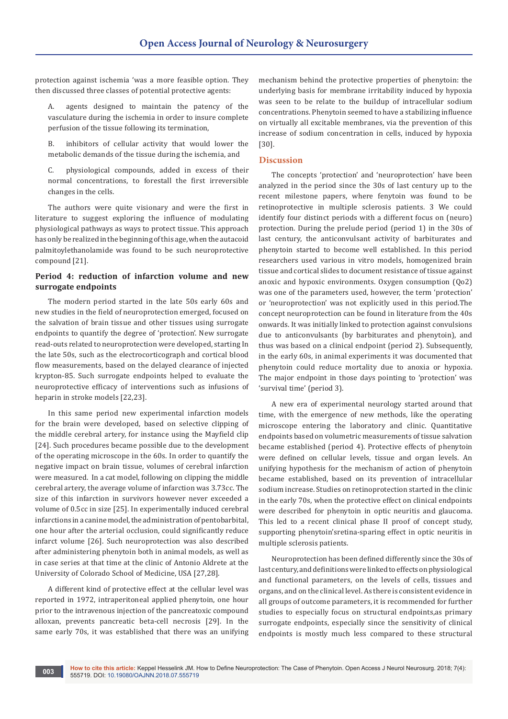protection against ischemia 'was a more feasible option. They then discussed three classes of potential protective agents:

A. agents designed to maintain the patency of the vasculature during the ischemia in order to insure complete perfusion of the tissue following its termination,

B. inhibitors of cellular activity that would lower the metabolic demands of the tissue during the ischemia, and

C. physiological compounds, added in excess of their normal concentrations, to forestall the first irreversible changes in the cells.

The authors were quite visionary and were the first in literature to suggest exploring the influence of modulating physiological pathways as ways to protect tissue. This approach has only be realized in the beginning of this age, when the autacoid palmitoylethanolamide was found to be such neuroprotective compound [21].

# **Period 4: reduction of infarction volume and new surrogate endpoints**

The modern period started in the late 50s early 60s and new studies in the field of neuroprotection emerged, focused on the salvation of brain tissue and other tissues using surrogate endpoints to quantify the degree of 'protection'. New surrogate read-outs related to neuroprotection were developed, starting In the late 50s, such as the electrocorticograph and cortical blood flow measurements, based on the delayed clearance of injected krypton-85. Such surrogate endpoints helped to evaluate the neuroprotective efficacy of interventions such as infusions of heparin in stroke models [22,23].

In this same period new experimental infarction models for the brain were developed, based on selective clipping of the middle cerebral artery, for instance using the Mayfield clip [24]. Such procedures became possible due to the development of the operating microscope in the 60s. In order to quantify the negative impact on brain tissue, volumes of cerebral infarction were measured. In a cat model, following on clipping the middle cerebral artery, the average volume of infarction was 3.73cc. The size of this infarction in survivors however never exceeded a volume of 0.5cc in size [25]. In experimentally induced cerebral infarctions in a canine model, the administration of pentobarbital, one hour after the arterial occlusion, could significantly reduce infarct volume [26]. Such neuroprotection was also described after administering phenytoin both in animal models, as well as in case series at that time at the clinic of Antonio Aldrete at the University of Colorado School of Medicine, USA [27,28].

A different kind of protective effect at the cellular level was reported in 1972, intraperitoneal applied phenytoin, one hour prior to the intravenous injection of the pancreatoxic compound alloxan, prevents pancreatic beta-cell necrosis [29]. In the same early 70s, it was established that there was an unifying

mechanism behind the protective properties of phenytoin: the underlying basis for membrane irritability induced by hypoxia was seen to be relate to the buildup of intracellular sodium concentrations. Phenytoin seemed to have a stabilizing influence on virtually all excitable membranes, via the prevention of this increase of sodium concentration in cells, induced by hypoxia [30].

## **Discussion**

The concepts 'protection' and 'neuroprotection' have been analyzed in the period since the 30s of last century up to the recent milestone papers, where fenytoin was found to be retinoprotective in multiple sclerosis patients. 3 We could identify four distinct periods with a different focus on (neuro) protection. During the prelude period (period 1) in the 30s of last century, the anticonvulsant activity of barbiturates and phenytoin started to become well established. In this period researchers used various in vitro models, homogenized brain tissue and cortical slides to document resistance of tissue against anoxic and hypoxic environments. Oxygen consumption (Qo2) was one of the parameters used, however, the term 'protection' or 'neuroprotection' was not explicitly used in this period.The concept neuroprotection can be found in literature from the 40s onwards. It was initially linked to protection against convulsions due to anticonvulsants (by barbiturates and phenytoin), and thus was based on a clinical endpoint (period 2). Subsequently, in the early 60s, in animal experiments it was documented that phenytoin could reduce mortality due to anoxia or hypoxia. The major endpoint in those days pointing to 'protection' was 'survival time' (period 3).

A new era of experimental neurology started around that time, with the emergence of new methods, like the operating microscope entering the laboratory and clinic. Quantitative endpoints based on volumetric measurements of tissue salvation became established (period 4). Protective effects of phenytoin were defined on cellular levels, tissue and organ levels. An unifying hypothesis for the mechanism of action of phenytoin became established, based on its prevention of intracellular sodium increase. Studies on retinoprotection started in the clinic in the early 70s, when the protective effect on clinical endpoints were described for phenytoin in optic neuritis and glaucoma. This led to a recent clinical phase II proof of concept study, supporting phenytoin'sretina-sparing effect in optic neuritis in multiple sclerosis patients.

Neuroprotection has been defined differently since the 30s of last century, and definitions were linked to effects on physiological and functional parameters, on the levels of cells, tissues and organs, and on the clinical level. As there is consistent evidence in all groups of outcome parameters, it is recommended for further studies to especially focus on structural endpoints,as primary surrogate endpoints, especially since the sensitivity of clinical endpoints is mostly much less compared to these structural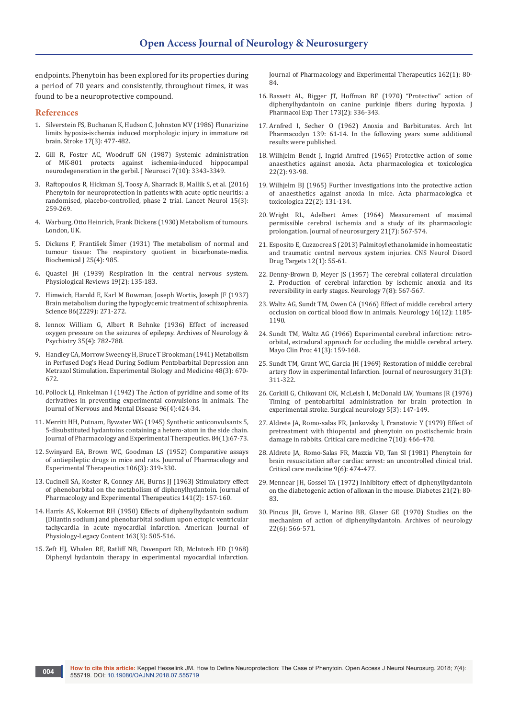endpoints. Phenytoin has been explored for its properties during a period of 70 years and consistently, throughout times, it was found to be a neuroprotective compound.

### **References**

- 1. [Silverstein FS, Buchanan K, Hudson C, Johnston MV \(1986\) Flunarizine](https://www.ncbi.nlm.nih.gov/pubmed/3715946)  [limits hypoxia-ischemia induced morphologic injury in immature rat](https://www.ncbi.nlm.nih.gov/pubmed/3715946)  [brain. Stroke 17\(3\): 477-482.](https://www.ncbi.nlm.nih.gov/pubmed/3715946)
- 2. [Gill R, Foster AC, Woodruff GN \(1987\) Systemic administration](https://www.ncbi.nlm.nih.gov/pubmed/3312511)  [of MK-801 protects against ischemia-induced hippocampal](https://www.ncbi.nlm.nih.gov/pubmed/3312511)  [neurodegeneration in the gerbil. J Neurosci 7\(10\): 3343-3349.](https://www.ncbi.nlm.nih.gov/pubmed/3312511)
- 3. [Raftopoulos R, Hickman SJ, Toosy A, Sharrack B, Mallik S, et al. \(2016\)](https://www.ncbi.nlm.nih.gov/pubmed/26822749)  [Phenytoin for neuroprotection in patients with acute optic neuritis: a](https://www.ncbi.nlm.nih.gov/pubmed/26822749)  [randomised, placebo-controlled, phase 2 trial. Lancet Neurol 15\(3\):](https://www.ncbi.nlm.nih.gov/pubmed/26822749)  [259-269.](https://www.ncbi.nlm.nih.gov/pubmed/26822749)
- 4. [Warburg, Otto Heinrich, Frank Dickens \(1930\) Metabolism of tumours.](http://www.worldcat.org/title/metabolism-of-tumours/oclc/5713227)  [London, UK.](http://www.worldcat.org/title/metabolism-of-tumours/oclc/5713227)
- 5. [Dickens F, František Šimer \(1931\) The metabolism of normal and](https://www.ncbi.nlm.nih.gov/pubmed/16744705)  [tumour tissue: The respiratory quotient in bicarbonate-media.](https://www.ncbi.nlm.nih.gov/pubmed/16744705)  [Biochemical J 25\(4\): 985.](https://www.ncbi.nlm.nih.gov/pubmed/16744705)
- 6. [Quastel JH \(1939\) Respiration in the central nervous system.](https://www.physiology.org/doi/abs/10.1152/physrev.1939.19.2.135?journalCode=physrev)  [Physiological Reviews 19\(2\): 135-183.](https://www.physiology.org/doi/abs/10.1152/physrev.1939.19.2.135?journalCode=physrev)
- 7. [Himwich, Harold E, Karl M Bowman, Joseph Wortis, Joseph JF \(1937\)](https://www.ncbi.nlm.nih.gov/pubmed/17749645)  [Brain metabolism during the hypoglycemic treatment of schizophrenia.](https://www.ncbi.nlm.nih.gov/pubmed/17749645)  [Science 86\(2229\): 271-272.](https://www.ncbi.nlm.nih.gov/pubmed/17749645)
- 8. [lennox William G, Albert R Behnke \(1936\) Effect of increased](https://jamanetwork.com/journals/archneurpsyc/article-abstract/646779?redirect=true)  [oxygen pressure on the seizures of epilepsy. Archives of Neurology &](https://jamanetwork.com/journals/archneurpsyc/article-abstract/646779?redirect=true)  [Psychiatry 35\(4\): 782-788.](https://jamanetwork.com/journals/archneurpsyc/article-abstract/646779?redirect=true)
- 9. [Handley CA, Morrow Sweeney H, Bruce T Brookman \(1941\) Metabolism](http://journals.sagepub.com/doi/pdf/10.3181/00379727-48-13423)  [in Perfused Dog's Head During Sodium Pentobarbital Depression ann](http://journals.sagepub.com/doi/pdf/10.3181/00379727-48-13423)  [Metrazol Stimulation. Experimental Biology and Medicine 48\(3\): 670-](http://journals.sagepub.com/doi/pdf/10.3181/00379727-48-13423) [672.](http://journals.sagepub.com/doi/pdf/10.3181/00379727-48-13423)
- 10. Pollock LJ, Finkelman I (1942) The Action of pyridine and some of its derivatives in preventing experimental convulsions in animals. The Journal of Nervous and Mental Disease 96(4):424-34.
- 11. [Merritt HH, Putnam, Bywater WG \(1945\) Synthetic anticonvulsants 5,](http://jpet.aspetjournals.org/content/84/1/67)  [5-disubstituted hydantoins containing a hetero-atom in the side chain.](http://jpet.aspetjournals.org/content/84/1/67)  [Journal of Pharmacology and Experimental Therapeutics. 84\(1\):67-73.](http://jpet.aspetjournals.org/content/84/1/67)
- 12. [Swinyard EA, Brown WC, Goodman LS \(1952\) Comparative assays](http://jpet.aspetjournals.org/content/106/3/319)  [of antiepileptic drugs in mice and rats. Journal of Pharmacology and](http://jpet.aspetjournals.org/content/106/3/319)  [Experimental Therapeutics 106\(3\): 319-330.](http://jpet.aspetjournals.org/content/106/3/319)
- 13. [Cucinell SA, Koster R, Conney AH, Burns JJ \(1963\) Stimulatory effect](http://jpet.aspetjournals.org/content/141/2/157)  [of phenobarbital on the metabolism of diphenylhydantoin. Journal of](http://jpet.aspetjournals.org/content/141/2/157)  [Pharmacology and Experimental Therapeutics 141\(2\): 157-160.](http://jpet.aspetjournals.org/content/141/2/157)
- 14. [Harris AS, Kokernot RH \(1950\) Effects of diphenylhydantoin sodium](https://www.physiology.org/doi/abs/10.1152/ajplegacy.1950.163.3.505)  [\(Dilantin sodium\) and phenobarbital sodium upon ectopic ventricular](https://www.physiology.org/doi/abs/10.1152/ajplegacy.1950.163.3.505)  [tachycardia in acute myocardial infarction. American Journal of](https://www.physiology.org/doi/abs/10.1152/ajplegacy.1950.163.3.505)  [Physiology-Legacy Content 163\(3\): 505-516.](https://www.physiology.org/doi/abs/10.1152/ajplegacy.1950.163.3.505)
- 15. [Zeft HJ, Whalen RE, Ratliff NB, Davenport RD, McIntosh HD \(1968\)](http://jpet.aspetjournals.org/content/118/3/270)  [Diphenyl hydantoin therapy in experimental myocardial infarction.](http://jpet.aspetjournals.org/content/118/3/270)

[Journal of Pharmacology and Experimental Therapeutics 162\(1\): 80-](http://jpet.aspetjournals.org/content/118/3/270) [84.](http://jpet.aspetjournals.org/content/118/3/270)

- 16. [Bassett AL, Bigger JT, Hoffman BF \(1970\) "Protective" action of](https://www.ncbi.nlm.nih.gov/pubmed/5434018)  [diphenylhydantoin on canine purkinje fibers during hypoxia. J](https://www.ncbi.nlm.nih.gov/pubmed/5434018)  [Pharmacol Exp Ther 173\(2\): 336-343.](https://www.ncbi.nlm.nih.gov/pubmed/5434018)
- 17. Arnfred I, Secher O (1962) Anoxia and Barbiturates. Arch Int Pharmacodyn 139: 61-14. In the following years some additional results were published.
- 18. [Wilhjelm Bendt J, Ingrid Arnfred \(1965\) Protective action of some](https://www.ncbi.nlm.nih.gov/pubmed/14284199)  [anaesthetics against anoxia. Acta pharmacologica et toxicologica](https://www.ncbi.nlm.nih.gov/pubmed/14284199)  [22\(2\): 93-98.](https://www.ncbi.nlm.nih.gov/pubmed/14284199)
- 19. [Wilhjelm BJ \(1965\) Further investigations into the protective action](https://onlinelibrary.wiley.com/doi/abs/10.1111/j.1600-0773.1965.tb03505.x)  [of anaesthetics against anoxia in mice. Acta pharmacologica et](https://onlinelibrary.wiley.com/doi/abs/10.1111/j.1600-0773.1965.tb03505.x)  [toxicologica 22\(2\): 131-134.](https://onlinelibrary.wiley.com/doi/abs/10.1111/j.1600-0773.1965.tb03505.x)
- 20. [Wright RL, Adelbert Ames \(1964\) Measurement of maximal](http://thejns.org/doi/abs/10.3171/jns.1964.21.7.0567?journalCode=jns)  [permissible cerebral ischemia and a study of its pharmacologic](http://thejns.org/doi/abs/10.3171/jns.1964.21.7.0567?journalCode=jns)  [prolongation. Journal of neurosurgery 21\(7\): 567-574.](http://thejns.org/doi/abs/10.3171/jns.1964.21.7.0567?journalCode=jns)
- 21. [Esposito E, Cuzzocrea S \(2013\) Palmitoyl ethanolamide in homeostatic](https://www.ncbi.nlm.nih.gov/pubmed/23394520)  [and traumatic central nervous system injuries. CNS Neurol Disord](https://www.ncbi.nlm.nih.gov/pubmed/23394520)  [Drug Targets 12\(1\): 55-61.](https://www.ncbi.nlm.nih.gov/pubmed/23394520)
- 22. [Denny-Brown D, Meyer JS \(1957\) The cerebral collateral circulation](http://n.neurology.org/content/7/8/567)  [2. Production of cerebral infarction by ischemic anoxia and its](http://n.neurology.org/content/7/8/567)  [reversibility in early stages. Neurology 7\(8\): 567-567.](http://n.neurology.org/content/7/8/567)
- 23. [Waltz AG, Sundt TM, Owen CA \(1966\) Effect of middle cerebral artery](https://www.ncbi.nlm.nih.gov/pubmed/4958951)  [occlusion on cortical blood flow in animals. Neurology 16\(12\): 1185-](https://www.ncbi.nlm.nih.gov/pubmed/4958951) [1190.](https://www.ncbi.nlm.nih.gov/pubmed/4958951)
- 24. [Sundt TM, Waltz AG \(1966\) Experimental cerebral infarction: retro](https://www.ncbi.nlm.nih.gov/pubmed/5906190)[orbital, extradural approach for occluding the middle cerebral artery.](https://www.ncbi.nlm.nih.gov/pubmed/5906190)  [Mayo Clin Proc 41\(3\): 159-168.](https://www.ncbi.nlm.nih.gov/pubmed/5906190)
- 25. [Sundt TM, Grant WC, Garcia JH \(1969\) Restoration of middle cerebral](http://thejns.org/doi/10.3171/jns.1969.31.3.0311)  [artery flow in experimental Infarction. Journal of neurosurgery 31\(3\):](http://thejns.org/doi/10.3171/jns.1969.31.3.0311)  [311-322.](http://thejns.org/doi/10.3171/jns.1969.31.3.0311)
- 26. [Corkill G, Chikovani OK, McLeish I, McDonald LW, Youmans JR \(1976\)](https://www.ncbi.nlm.nih.gov/pubmed/1257884)  [Timing of pentobarbital administration for brain protection in](https://www.ncbi.nlm.nih.gov/pubmed/1257884)  [experimental stroke. Surgical neurology 5\(3\): 147-149.](https://www.ncbi.nlm.nih.gov/pubmed/1257884)
- 27. [Aldrete JA, Romo-salas FR, Jankovsky l, Franatovic Y \(1979\) Effect of](https://www.ncbi.nlm.nih.gov/pubmed/477355)  [pretreatment with thiopental and phenytoin on postischemic brain](https://www.ncbi.nlm.nih.gov/pubmed/477355)  [damage in rabbits. Critical care medicine 7\(10\): 466-470.](https://www.ncbi.nlm.nih.gov/pubmed/477355)
- 28. [Aldrete JA, Romo-Salas FR, Mazzia VD, Tan Sl \(1981\) Phenytoin for](https://www.ncbi.nlm.nih.gov/pubmed/7014099)  [brain resuscitation after cardiac arrest: an uncontrolled clinical trial.](https://www.ncbi.nlm.nih.gov/pubmed/7014099)  [Critical care medicine 9\(6\): 474-477.](https://www.ncbi.nlm.nih.gov/pubmed/7014099)
- 29. [Mennear JH, Gossel TA \(1972\) Inhibitory effect of diphenylhydantoin](https://www.ncbi.nlm.nih.gov/pubmed/5060107)  [on the diabetogenic action of alloxan in the mouse. Diabetes 21\(2\): 80-](https://www.ncbi.nlm.nih.gov/pubmed/5060107) [83.](https://www.ncbi.nlm.nih.gov/pubmed/5060107)
- 30. [Pincus JH, Grove I, Marino BB, Glaser GE \(1970\) Studies on the](https://www.ncbi.nlm.nih.gov/pubmed/4245359)  [mechanism of action of diphenylhydantoin. Archives of neurology](https://www.ncbi.nlm.nih.gov/pubmed/4245359)  [22\(6\): 566-571.](https://www.ncbi.nlm.nih.gov/pubmed/4245359)